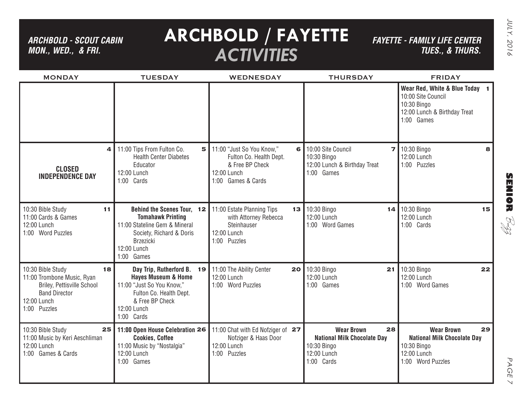*ARCHBOLD - SCOUT CABIN MON., WED., & FRI.*

## **ARCHBOLD / FAYETTE** *ACTIVITIES*

*FAYETTE - FAMILY LIFE CENTER TUES., & THURS.*

| <b>MONDAY</b>                                                                                                                              | <b>TUESDAY</b>                                                                                                                                                       | <b>WEDNESDAY</b>                                                                                             | <b>THURSDAY</b>                                                                                           | <b>FRIDAY</b>                                                                                                     |
|--------------------------------------------------------------------------------------------------------------------------------------------|----------------------------------------------------------------------------------------------------------------------------------------------------------------------|--------------------------------------------------------------------------------------------------------------|-----------------------------------------------------------------------------------------------------------|-------------------------------------------------------------------------------------------------------------------|
|                                                                                                                                            |                                                                                                                                                                      |                                                                                                              |                                                                                                           | Wear Red, White & Blue Today 1<br>10:00 Site Council<br>10:30 Bingo<br>12:00 Lunch & Birthday Treat<br>1:00 Games |
| 4<br><b>CLOSED</b><br><b>INDEPENDENCE DAY</b>                                                                                              | 11:00 Tips From Fulton Co.<br>5<br><b>Health Center Diabetes</b><br>Educator<br>12:00 Lunch<br>1:00 Cards                                                            | 11:00 "Just So You Know,"<br>Fulton Co. Health Dept.<br>& Free BP Check<br>12:00 Lunch<br>1:00 Games & Cards | 6 10:00 Site Council<br>7 <sup>1</sup><br>10:30 Bingo<br>12:00 Lunch & Birthday Treat<br>1:00 Games       | 10:30 Bingo<br>8<br>12:00 Lunch<br>1:00 Puzzles                                                                   |
| 10:30 Bible Study<br>11<br>11:00 Cards & Games<br>12:00 Lunch<br>1:00 Word Puzzles                                                         | Behind the Scenes Tour, 12<br><b>Tomahawk Printing</b><br>11:00 Stateline Gem & Mineral<br>Society, Richard & Doris<br><b>Brzezicki</b><br>12:00 Lunch<br>1:00 Games | 11:00 Estate Planning Tips<br>13<br>with Attorney Rebecca<br>Steinhauser<br>12:00 Lunch<br>1:00 Puzzles      | 10:30 Bingo<br>14<br>12:00 Lunch<br>1:00 Word Games                                                       | 10:30 Bingo<br>15<br>12:00 Lunch<br>1:00 Cards                                                                    |
| 10:30 Bible Study<br>18<br>11:00 Trombone Music, Ryan<br>Briley, Pettisville School<br><b>Band Director</b><br>12:00 Lunch<br>1:00 Puzzles | Day Trip, Rutherford B. 19<br><b>Hayes Museum &amp; Home</b><br>11:00 "Just So You Know,"<br>Fulton Co. Health Dept.<br>& Free BP Check<br>12:00 Lunch<br>1:00 Cards | 11:00 The Ability Center<br>20<br>12:00 Lunch<br>1:00 Word Puzzles                                           | 10:30 Bingo<br>$21 \mid$<br>12:00 Lunch<br>1:00 Games                                                     | 10:30 Bingo<br>22<br>12:00 Lunch<br>1:00 Word Games                                                               |
| 10:30 Bible Study<br>25<br>11:00 Music by Keri Aeschliman<br>12:00 Lunch<br>1:00 Games & Cards                                             | 11:00 Open House Celebration 26<br><b>Cookies, Coffee</b><br>11:00 Music by "Nostalgia"<br>12:00 Lunch<br>1:00 Games                                                 | 11:00 Chat with Ed Nofziger of 27<br>Nofziger & Haas Door<br>12:00 Lunch<br>1:00 Puzzles                     | 28<br><b>Wear Brown</b><br><b>National Milk Chocolate Day</b><br>10:30 Bingo<br>12:00 Lunch<br>1:00 Cards | 29<br><b>Wear Brown</b><br><b>National Milk Chocolate Day</b><br>10:30 Bingo<br>12:00 Lunch<br>1:00 Word Puzzles  |

PAGE PAGE 7  $\vee$ 

**SENIOR** B-zz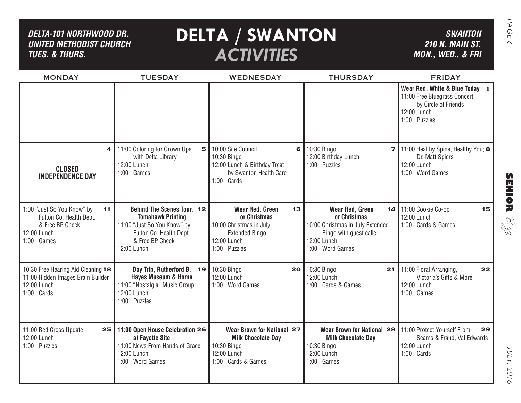| DELTA-101 NORTHWOOD DR.<br><b>UNITED METHODIST CHURCH</b><br><b>TUES. &amp; THURS.</b>                      | <b>SWANTON</b><br><b>210 N. MAIN ST.</b><br>MON., WED., & FRI                                                                                      |                                                                                                                          |                                                                                                                                  |                                                                                                                                      |
|-------------------------------------------------------------------------------------------------------------|----------------------------------------------------------------------------------------------------------------------------------------------------|--------------------------------------------------------------------------------------------------------------------------|----------------------------------------------------------------------------------------------------------------------------------|--------------------------------------------------------------------------------------------------------------------------------------|
| <b>MONDAY</b>                                                                                               | <b>TUESDAY</b>                                                                                                                                     | <b>WEDNESDAY</b>                                                                                                         | <b>THURSDAY</b>                                                                                                                  | <b>FRIDAY</b><br>Wear Red, White & Blue Today<br>11:00 Free Bluegrass Concert<br>by Circle of Friends<br>12:00 Lunch<br>1:00 Puzzles |
| 4<br><b>CLOSED</b><br><b>INDEPENDENCE DAY</b>                                                               | 11:00 Coloring for Grown Ups<br>5<br>with Delta Library<br>12:00 Lunch<br>1:00 Games                                                               | 10:00 Site Council<br>6<br>10:30 Bingo<br>12:00 Lunch & Birthday Treat<br>by Swanton Health Care<br>1:00 Cards           | 10:30 Bingo<br>71<br>12:00 Birthday Lunch<br>1:00 Puzzles                                                                        | 11:00 Healthy Spine, Healthy You; 8<br>Dr. Matt Spiers<br>12:00 Lunch<br>1:00 Word Games                                             |
| 1:00 "Just So You Know" by<br>11<br>Fulton Co. Health Dept.<br>& Free BP Check<br>12:00 Lunch<br>1:00 Games | Behind The Scenes Tour, 12<br><b>Tomahawk Printing</b><br>11:00 "Just So You Know" by<br>Fulton Co. Health Dept.<br>& Free BP Check<br>12:00 Lunch | Wear Red, Green<br>13<br>or Christmas<br>10:00 Christmas in July<br><b>Extended Bingo</b><br>12:00 Lunch<br>1:00 Puzzles | Wear Red, Green<br>or Christmas<br>10:00 Christmas in July Extended<br>Bingo with guest caller<br>12:00 Lunch<br>1:00 Word Games | 14 11:00 Cookie Co-op<br>15<br>12:00 Lunch<br>1:00 Cards & Games                                                                     |
| 10:30 Free Hearing Aid Cleaning 18<br>11:00 Hidden Images Brain Builder<br>12:00 Lunch<br>1:00 Cards        | Day Trip, Rutherford B. 19<br><b>Hayes Museum &amp; Home</b><br>11:00 "Nostalgia" Music Group<br>12:00 Lunch<br>1:00 Puzzles                       | 10:30 Bingo<br>20 I<br>12:00 Lunch<br>1:00 Word Games                                                                    | 10:30 Bingo<br>21<br>12:00 Lunch<br>1:00 Cards & Games                                                                           | 11:00 Floral Arranging,<br>22<br>Victoria's Gifts & More<br>12:00 Lunch<br>1:00 Games                                                |
| 11:00 Red Cross Update<br>25<br>12:00 Lunch<br>1:00 Puzzles                                                 | 11:00 Open House Celebration 26<br>at Fayette Site<br>11:00 News From Hands of Grace<br>12:00 Lunch<br>1:00 Word Games                             | Wear Brown for National 27<br><b>Milk Chocolate Day</b><br>10:30 Bingo<br>12:00 Lunch<br>1:00 Cards & Games              | Wear Brown for National 28<br><b>Milk Chocolate Day</b><br>10:30 Bingo<br>12:00 Lunch<br>1:00 Games                              | 11:00 Protect Yourself From<br>29<br>Scams & Fraud, Val Edwards<br>12:00 Lunch<br>1:00 Cards                                         |